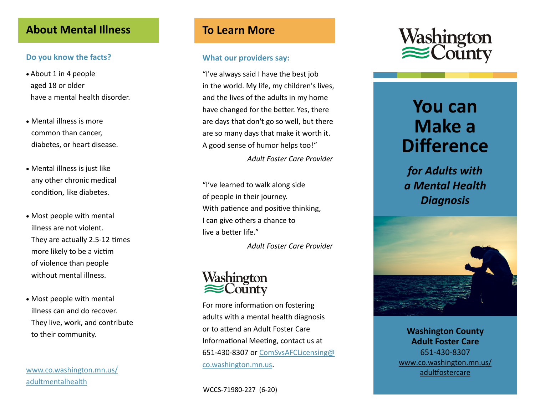### **About Mental Illness**

### **Do you know the facts?**

- About 1 in 4 people aged 18 or older have a mental health disorder.
- Mental illness is more common than cancer, diabetes, or heart disease.
- Mental illness is just like any other chronic medical condition, like diabetes.
- Most people with mental illness are not violent. They are actually 2.5 -12 times more likely to be a victim of violence than people without mental illness.
- Most people with mental illness can and do recover. They live, work, and contribute to their community.

[www.co.washington.mn.us/](https://www.co.washington.mn.us/3159/Adult-Mental-Health) [adultmentalhealth](https://www.co.washington.mn.us/3159/Adult-Mental-Health)

### **To Learn More**

#### **What our providers say:**

"I've always said I have the best job in the world. My life, my children's lives, and the lives of the adults in my home have changed for the better. Yes, there are days that don't go so well, but there are so many days that make it worth it. A good sense of humor helps too! "

*Adult Foster Care Provider*

"I've learned to walk along side of people in their journey. With patience and positive thinking, I can give others a chance to live a better life. "

*Adult Foster Care Provider*

# Washington County

For more information on fostering adults with a mental health diagnosis or to attend an Adult Foster Care Informational Meeting, contact us at 651-430-8307 or **[ComSvsAFCLicensing@](mailto:ComSvsAFCLicensing@co.washington.mn.us)** [co.washington.mn.us](mailto:ComSvsAFCLicensing@co.washington.mn.us) .



# **You can Make a Difference**

*for Adults with a Mental Health Diagnosis*



**Washington County Adult Foster Care** 651 -430 -8307 [www.co.washington.mn.us/](http://www.co.washington.mn.us/adultfostercare) [adultfostercare](http://www.co.washington.mn.us/adultfostercare)